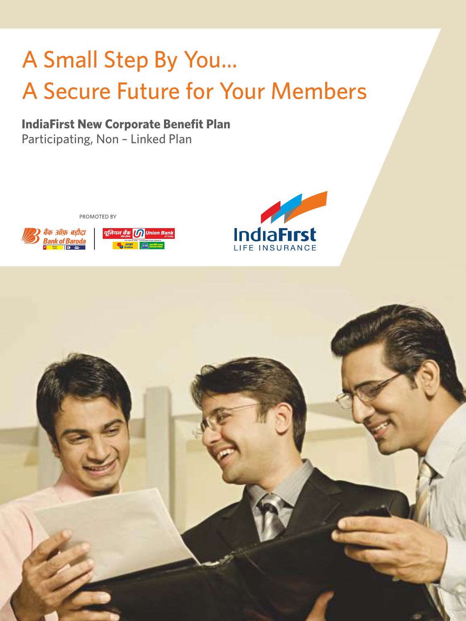# A Small Step By You... A Secure Future for Your Members

## **IndiaFirst New Corporate Benefit Plan**  Participating, Non – Linked Plan

PROMOTED BY





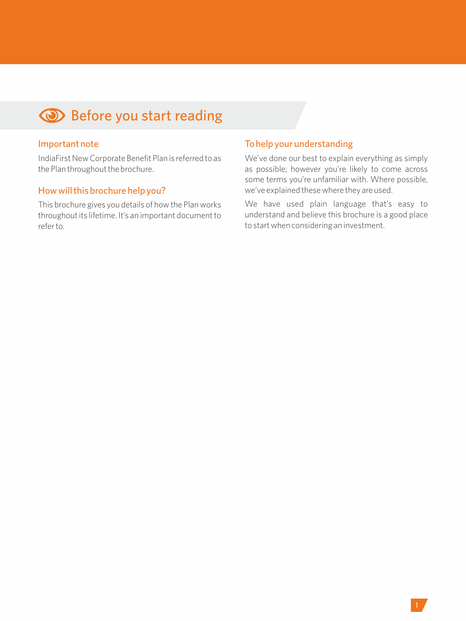## **Before you start reading**

#### Important note

IndiaFirst New Corporate Benefit Plan is referred to as the Plan throughout the brochure.

## How will this brochure help you?

This brochure gives you details of how the Plan works throughout its lifetime. It's an important document to refer to.

## To help your understanding

We've done our best to explain everything as simply as possible; however you're likely to come across some terms you're unfamiliar with. Where possible, we've explained these where they are used.

We have used plain language that's easy to understand and believe this brochure is a good place to start when considering an investment.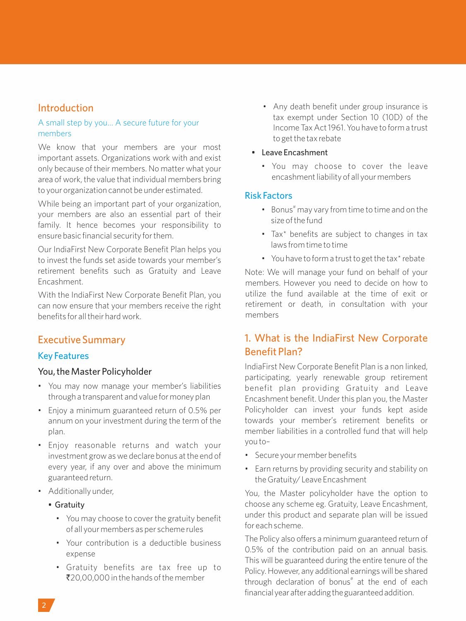## Introduction

#### A small step by you… A secure future for your members

We know that your members are your most important assets. Organizations work with and exist only because of their members. No matter what your area of work, the value that individual members bring to your organization cannot be under estimated.

While being an important part of your organization, your members are also an essential part of their family. It hence becomes your responsibility to ensure basic financial security for them.

Our IndiaFirst New Corporate Benefit Plan helps you to invest the funds set aside towards your member's retirement benefits such as Gratuity and Leave Encashment.

With the IndiaFirst New Corporate Benefit Plan, you can now ensure that your members receive the right benefits for all their hard work.

## Executive Summary

## Key Features

#### You, the Master Policyholder

- You may now manage your member's liabilities through a transparent and value for money plan
- Enjoy a minimum guaranteed return of 0.5% per annum on your investment during the term of the plan.
- Enjoy reasonable returns and watch your investment grow as we declare bonus at the end of every year, if any over and above the minimum guaranteed return.
- Additionally under,
	- Gratuity
		- You may choose to cover the gratuity benefit of all your members as per scheme rules
		- Your contribution is a deductible business expense
		- Gratuity benefits are tax free up to  $720,00,000$  in the hands of the member
- Any death benefit under group insurance is tax exempt under Section 10 (10D) of the Income Tax Act 1961. You have to form a trust to get the tax rebate
- Leave Encashment
	- You may choose to cover the leave encashment liability of all your members

## Risk Factors

- Bonus<sup>#</sup> may vary from time to time and on the size of the fund
- Tax\* benefits are subject to changes in tax laws from time to time
- You have to form a trust to get the tax\* rebate

Note: We will manage your fund on behalf of your members. However you need to decide on how to utilize the fund available at the time of exit or retirement or death, in consultation with your members

## 1. What is the IndiaFirst New Corporate Benefit Plan?

IndiaFirst New Corporate Benefit Plan is a non linked, participating, yearly renewable group retirement benefit plan providing Gratuity and Leave Encashment benefit. Under this plan you, the Master Policyholder can invest your funds kept aside towards your member's retirement benefits or member liabilities in a controlled fund that will help you to–

- Secure your member benefits
- Earn returns by providing security and stability on the Gratuity/ Leave Encashment

You, the Master policyholder have the option to choose any scheme eg. Gratuity, Leave Encashment, under this product and separate plan will be issued for each scheme.

The Policy also offers a minimum guaranteed return of 0.5% of the contribution paid on an annual basis. This will be guaranteed during the entire tenure of the Policy. However, any additional earnings will be shared through declaration of bonus<sup>#</sup> at the end of each financial year after adding the guaranteed addition.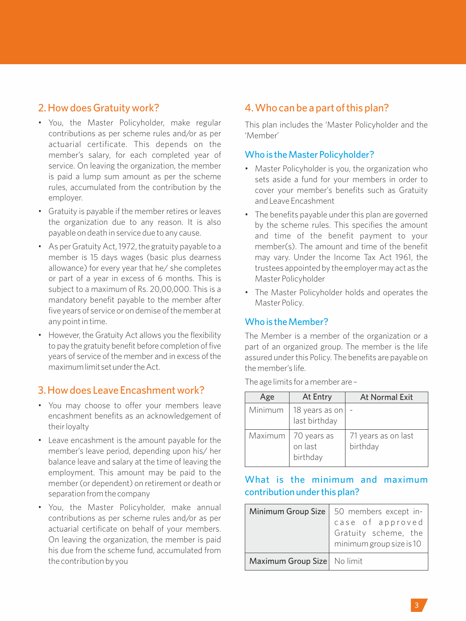## 2. How does Gratuity work?

- You, the Master Policyholder, make regular contributions as per scheme rules and/or as per actuarial certificate. This depends on the member's salary, for each completed year of service. On leaving the organization, the member is paid a lump sum amount as per the scheme rules, accumulated from the contribution by the employer.
- Gratuity is payable if the member retires or leaves the organization due to any reason. It is also payable on death in service due to any cause.
- As per Gratuity Act, 1972, the gratuity payable to a member is 15 days wages (basic plus dearness allowance) for every year that he/ she completes or part of a year in excess of 6 months. This is subject to a maximum of Rs. 20,00,000. This is a mandatory benefit payable to the member after five years of service or on demise of the member at any point in time.
- However, the Gratuity Act allows you the flexibility to pay the gratuity benefit before completion of five years of service of the member and in excess of the maximumlimit setundertheAct.

## 3. How does Leave Encashment work?

- You may choose to offer your members leave encashment benefits as an acknowledgement of their loyalty
- Leave encashment is the amount payable for the member's leave period, depending upon his/ her balance leave and salary at the time of leaving the employment. This amount may be paid to the member (or dependent) on retirement or death or separation from the company
- You, the Master Policyholder, make annual contributions as per scheme rules and/or as per actuarial certificate on behalf of your members. On leaving the organization, the member is paid his due from the scheme fund, accumulated from the contribution by you

## 4. Who can be a part of this plan?

This plan includes the 'Master Policyholder and the 'Member'

## Who is the Master Policyholder?

- Master Policyholder is you, the organization who sets aside a fund for your members in order to cover your member's benefits such as Gratuity and Leave Encashment
- The benefits payable under this plan are governed by the scheme rules. This specifies the amount and time of the benefit payment to your member(s). The amount and time of the benefit may vary. Under the Income Tax Act 1961, the trustees appointed by the employer may act as the Master Policyholder
- The Master Policyholder holds and operates the Master Policy.

## Who is the Member?

The Member is a member of the organization or a part of an organized group. The member is the life assured under this Policy. The benefits are payable on the member's life.

| Age     | At Entry                           | <b>At Normal Exit</b>           |
|---------|------------------------------------|---------------------------------|
| Minimum | 18 years as on<br>last birthday    |                                 |
| Maximum | 70 years as<br>on last<br>birthday | 71 years as on last<br>birthday |

The age limits for a member are –

## What is the minimum and maximum contribution under this plan?

| Minimum Group Size          | 50 members except in-<br>case of approved<br>Gratuity scheme, the<br>minimum group size is 10 |
|-----------------------------|-----------------------------------------------------------------------------------------------|
| Maximum Group Size No limit |                                                                                               |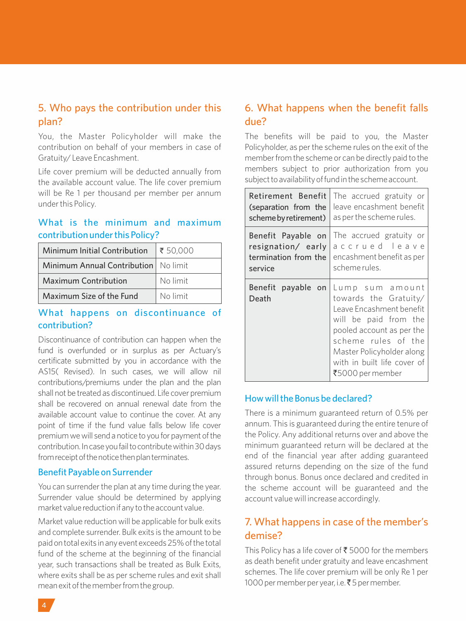## 5. Who pays the contribution under this plan?

You, the Master Policyholder will make the contribution on behalf of your members in case of Gratuity/ Leave Encashment.

Life cover premium will be deducted annually from the available account value. The life cover premium will be Re 1 per thousand per member per annum under this Policy.

## What is the minimum and maximum contribution under this Policy?

| Minimum Initial Contribution           | $\frac{1}{50,000}$ |
|----------------------------------------|--------------------|
| Minimum Annual Contribution   No limit |                    |
| <b>Maximum Contribution</b>            | No limit           |
| Maximum Size of the Fund               | No limit           |

## What happens on discontinuance of contribution?

Discontinuance of contribution can happen when the fund is overfunded or in surplus as per Actuary's certificate submitted by you in accordance with the AS15( Revised). In such cases, we will allow nil contributions/premiums under the plan and the plan shall not be treated as discontinued. Life cover premium shall be recovered on annual renewal date from the available account value to continue the cover. At any point of time if the fund value falls below life cover premium we will send a notice to you for payment of the contribution. In case you fail to contribute within 30 days from receipt of the notice then plan terminates.

#### Benefit Payable on Surrender

You can surrender the plan at any time during the year. Surrender value should be determined by applying market value reduction if any to the account value.

Market value reduction will be applicable for bulk exits and complete surrender. Bulk exits is the amount to be paidontotalexits inanyeventexceeds25%ofthetotal fund of the scheme at the beginning of the financial year, such transactions shall be treated as Bulk Exits, where exits shall be as per scheme rules and exit shall meanexitofthememberfromthegroup.

## 6. What happens when the benefit falls due?

The benefits will be paid to you, the Master Policyholder, as per the scheme rules on the exit of the memberfrom the scheme or can be directly paid to the members subject to prior authorization from you subject to availability of fund in the scheme account.

| Retirement Benefit          | The accrued gratuity or                                                                                                                                                                                                           |
|-----------------------------|-----------------------------------------------------------------------------------------------------------------------------------------------------------------------------------------------------------------------------------|
| (separation from the        | leave encashment benefit                                                                                                                                                                                                          |
| scheme by retirement)       | as per the scheme rules.                                                                                                                                                                                                          |
| Benefit Payable on          | The accrued gratuity or                                                                                                                                                                                                           |
| resignation/ early          | accrued leave                                                                                                                                                                                                                     |
| termination from the        | encashment benefit as per                                                                                                                                                                                                         |
| service                     | scheme rules.                                                                                                                                                                                                                     |
| Benefit payable on<br>Death | Lump sum amount<br>towards the Gratuity/<br>Leave Encashment benefit<br>will be paid from the<br>pooled account as per the<br>scheme rules of the<br>Master Policyholder along<br>with in built life cover of<br>₹5000 per member |

## How will the Bonus be declared?

There is a minimum guaranteed return of 0.5% per annum. This is guaranteed during the entire tenure of the Policy. Any additional returns over and above the minimum guaranteed return will be declared at the end of the financial year after adding guaranteed assured returns depending on the size of the fund through bonus. Bonus once declared and credited in the scheme account will be guaranteed and the account value will increase accordingly.

## 7. What happens in case of the member's demise?

This Policy has a life cover of  $\xi$  5000 for the members as death benefit under gratuity and leave encashment schemes. The life cover premium will be only Re 1 per 1000 per member per year, i.e. ₹5 per member.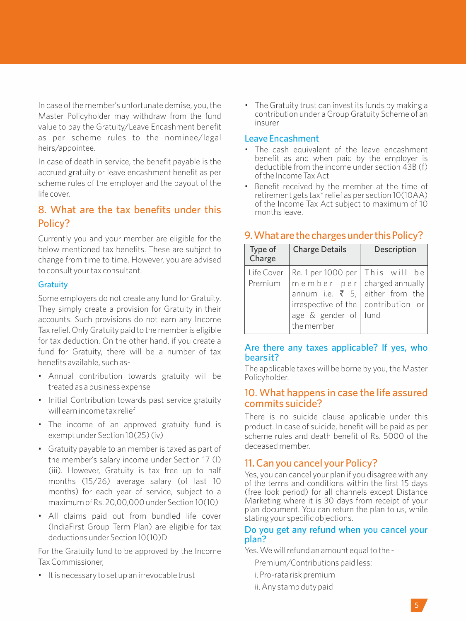In case of the member's unfortunate demise, you, the Master Policyholder may withdraw from the fund value to pay the Gratuity/Leave Encashment benefit as per scheme rules to the nominee/legal heirs/appointee.

In case of death in service, the benefit payable is the accrued gratuity or leave encashment benefit as per scheme rules of the employer and the payout of the life cover.

## 8. What are the tax benefits under this Policy?

Currently you and your member are eligible for the below mentioned tax benefits. These are subject to change from time to time. However, you are advised to consult your tax consultant.

#### **Gratuity**

Some employers do not create any fund for Gratuity. They simply create a provision for Gratuity in their accounts. Such provisions do not earn any Income Tax relief. Only Gratuity paid to the member is eligible for tax deduction. On the other hand, if you create a fund for Gratuity, there will be a number of tax benefits available, such as-

- Annual contribution towards gratuity will be treated as a business expense
- Initial Contribution towards past service gratuity will earn income tax relief
- The income of an approved gratuity fund is exempt under Section 10(25) (iv)
- Gratuity payable to an member is taxed as part of the member's salary income under Section 17 (I) (iii). However, Gratuity is tax free up to half months (15/26) average salary (of last 10 months) for each year of service, subject to a maximum of Rs. 20,00,000 under Section 10(10)
- All claims paid out from bundled life cover (IndiaFirst Group Term Plan) are eligible for tax deductions under Section 10(10)D

For the Gratuity fund to be approved by the Income Tax Commissioner,

• It is necessary to set up an irrevocable trust

• The Gratuity trust can invest its funds by making a contribution under a Group Gratuity Scheme of an insurer

#### Leave Encashment

- The cash equivalent of the leave encashment benefit as and when paid by the employer is deductible from the income under section 43B (f) of the Income Tax Act
- Benefit received by the member at the time of retirement gets tax\* relief as per section 10(10AA) of the Income Tax Act subject to maximum of 10 months leave.

#### Type of Charge Charge Details Description Life Cover Premium Re. 1 per 1000 per  $m$  e m b e r p e r  $\vert$ annum i.e.  $\bar{z}$  5, irrespective of the age & gender of the member This will be charged annually either from the contribution or fund

#### 9. What are the charges under this Policy?

## Are there any taxes applicable? If yes, who bears it?

The applicable taxes will be borne by you, the Master Policyholder.

#### 10. What happens in case the life assured commits suicide?

There is no suicide clause applicable under this product. In case of suicide, benefit will be paid as per scheme rules and death benefit of Rs. 5000 of the deceased member.

## 11. Can you cancel your Policy?

Yes, you can cancel your plan if you disagree with any of the terms and conditions within the first 15 days (free look period) for all channels except Distance Marketing where it is 30 days from receipt of your plan document. You can return the plan to us, while stating your specific objections.

#### Do you get any refund when you cancel your plan?

Yes. We will refund an amount equal to the -

- Premium/Contributions paid less:
- i. Pro-rata risk premium
- ii. Any stamp duty paid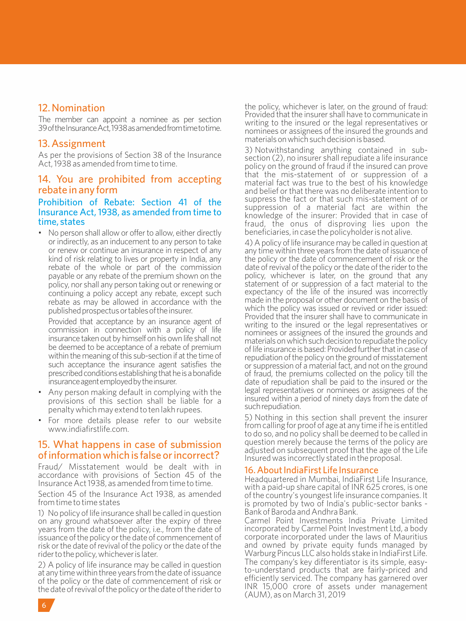## 12. Nomination

The member can appoint a nominee as per section 39 of the Insurance Act. 1938 as amended from time to time.

#### 13. Assignment

As per the provisions of Section 38 of the Insurance Act, 1938 as amended from time to time.

#### 14. You are prohibited from accepting rebate in any form

#### Prohibition of Rebate: Section 41 of the Insurance Act, 1938, as amended from time to time, states

• No person shall allow or offer to allow, either directly or indirectly, as an inducement to any person to take or renew or continue an insurance in respect of any kind of risk relating to lives or property in India, any rebate of the whole or part of the commission payable or any rebate of the premium shown on the policy, nor shall any person taking out or renewing or continuing a policy accept any rebate, except such rebate as may be allowed in accordance with the published prospectus or tables of the insurer.

Provided that acceptance by an insurance agent of commission in connection with a policy of life insurance taken out by himself on his own life shall not be deemed to be acceptance of a rebate of premium within the meaning of this sub-section if at the time of such acceptance the insurance agent satisfies the prescribed conditions establishing that he is a bonafide insurance agent employed by the insurer.

- Any person making default in complying with the provisions of this section shall be liable for a penalty which may extend to ten lakh rupees.
- For more details please refer to our website www.indiafirstlife.com.

## 15. What happens in case of submission of information which is false or incorrect?

Fraud/ Misstatement would be dealt with in accordance with provisions of Section 45 of the Insurance Act 1938, as amended from time to time.

Section 45 of the Insurance Act 1938, as amended from time to time states

1) No policy oflife insurance shall be called in question on any ground whatsoever after the expiry of three years from the date of the policy, i.e., from the date of issuance ofthe policy orthe date of commencement of risk or the date of revival of the policy or the date of the rider to the policy, whichever is later.

2) A policy of life insurance may be called in question at any timewithinthree years fromthedateofissuance of the policy or the date of commencement of risk or thedateofrevivalofthepolicyorthedateofthe riderto

the policy, whichever is later, on the ground of fraud: Provided that the insurer shall have to communicate in writing to the insured or the legal representatives or nominees or assignees of the insured the grounds and materialsonwhichsuchdecisionisbased.

3) Notwithstanding anything contained in subsection (2), no insurer shall repudiate a life insurance policy on the ground of fraud if the insured can prove that the mis-statement of or suppression of a material fact was true to the best of his knowledge and belief or that there was no deliberate intention to suppress the fact or that such mis-statement of or suppression of a material fact are within the knowledge of the insurer: Provided that in case of fraud, the onus of disproving lies upon the beneficiaries, in case the policyholder is not alive.

4) A policy of life insurance may be called in question at any time within three years from the date of issuance of the policy or the date of commencement of risk or the date of revival of the policy or the date of the rider to the policy, whichever is later, on the ground that any statement of or suppression of a fact material to the expectancy of the life of the insured was incorrectly made in the proposal or other document on the basis of which the policy was issued or revived or rider issued: Provided that the insurer shall have to communicate in writing to the insured or the legal representatives or nominees or assignees of the insured the grounds and materials on which such decision to repudiate the policy oflife insurance is based: Provided furtherthatin case of repudiation of the policy on the ground of misstatement or suppression of a material fact, and not on the ground of fraud, the premiums collected on the policy till the date of repudiation shall be paid to the insured or the legal representatives or nominees or assignees of the insured within a period of ninety days from the date of suchrepudiation.

5) Nothing in this section shall prevent the insurer from calling for proof of age at any time if he is entitled to do so, and no policy shall be deemed to be called in question merely because the terms of the policy are adjusted on subsequent proof that the age of the Life Insured was incorrectly stated in the proposal.

#### 16. About IndiaFirst Life Insurance

Headquartered in Mumbai, IndiaFirst Life Insurance, with a paid-up share capital of INR 625 crores, is one of the country's youngest life insurance companies. It is promoted by two of India's public-sector banks - Bank of Baroda and Andhra Bank.

Carmel Point Investments India Private Limited incorporated by Carmel Point Investment Ltd, a body corporate incorporated under the laws of Mauritius and owned by private equity funds managed by Warburg Pincus LLC also holds stake in IndiaFirst Life. The company's key differentiator is its simple, easyto-understand products that are fairly-priced and efficiently serviced. The company has garnered over INR 15,000 crore of assets under management (AUM), as on March 31, 2019